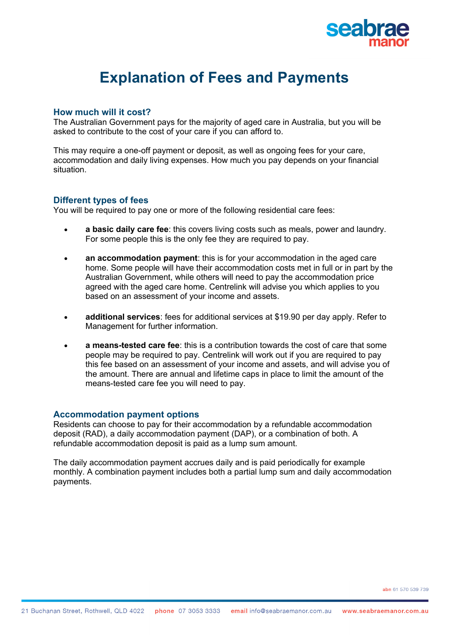

# **Explanation of Fees and Payments**

#### **How much will it cost?**

The Australian Government pays for the majority of aged care in Australia, but you will be asked to contribute to the cost of your care if you can afford to.

This may require a one-off payment or deposit, as well as ongoing fees for your care, accommodation and daily living expenses. How much you pay depends on your financial situation.

#### **Different types of fees**

You will be required to pay one or more of the following residential care fees:

- **a basic daily care fee**: this covers living costs such as meals, power and laundry. For some people this is the only fee they are required to pay.
- **an accommodation payment**: this is for your accommodation in the aged care home. Some people will have their accommodation costs met in full or in part by the Australian Government, while others will need to pay the accommodation price agreed with the aged care home. Centrelink will advise you which applies to you based on an assessment of your income and assets.
- **additional services**: fees for additional services at \$19.90 per day apply. Refer to Management for further information.
- **a means-tested care fee**: this is a contribution towards the cost of care that some people may be required to pay. Centrelink will work out if you are required to pay this fee based on an assessment of your income and assets, and will advise you of the amount. There are annual and lifetime caps in place to limit the amount of the means-tested care fee you will need to pay.

#### **Accommodation payment options**

Residents can choose to pay for their accommodation by a refundable accommodation deposit (RAD), a daily accommodation payment (DAP), or a combination of both. A refundable accommodation deposit is paid as a lump sum amount.

The daily accommodation payment accrues daily and is paid periodically for example monthly. A combination payment includes both a partial lump sum and daily accommodation payments.

abn 61.570.539.739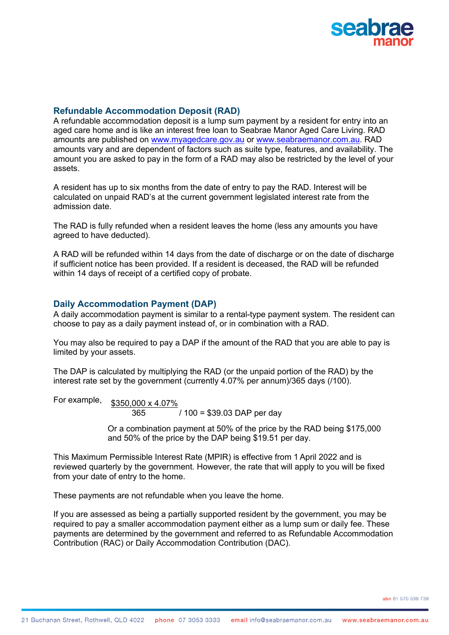

## **Refundable Accommodation Deposit (RAD)**

A refundable accommodation deposit is a lump sum payment by a resident for entry into an aged care home and is like an interest free loan to Seabrae Manor Aged Care Living. RAD amounts are published on www.myagedcare.gov.au or www.seabraemanor.com.au. RAD amounts vary and are dependent of factors such as suite type, features, and availability. The amount you are asked to pay in the form of a RAD may also be restricted by the level of your assets.

A resident has up to six months from the date of entry to pay the RAD. Interest will be calculated on unpaid RAD's at the current government legislated interest rate from the admission date.

The RAD is fully refunded when a resident leaves the home (less any amounts you have agreed to have deducted).

A RAD will be refunded within 14 days from the date of discharge or on the date of discharge if sufficient notice has been provided. If a resident is deceased, the RAD will be refunded within 14 days of receipt of a certified copy of probate.

### **Daily Accommodation Payment (DAP)**

A daily accommodation payment is similar to a rental-type payment system. The resident can choose to pay as a daily payment instead of, or in combination with a RAD.

You may also be required to pay a DAP if the amount of the RAD that you are able to pay is limited by your assets.

The DAP is calculated by multiplying the RAD (or the unpaid portion of the RAD) by the interest rate set by the government (currently 4.07% per annum)/365 days (/100).

For example, \$350,000 x 4.07% 365 / 100 = \$39.03 DAP per day

> Or a combination payment at 50% of the price by the RAD being \$175,000 and 50% of the price by the DAP being \$19.51 per day.

This Maximum Permissible Interest Rate (MPIR) is effective from 1 April 2022 and is reviewed quarterly by the government. However, the rate that will apply to you will be fixed from your date of entry to the home.

These payments are not refundable when you leave the home.

If you are assessed as being a partially supported resident by the government, you may be required to pay a smaller accommodation payment either as a lump sum or daily fee. These payments are determined by the government and referred to as Refundable Accommodation Contribution (RAC) or Daily Accommodation Contribution (DAC).

abn 61,570,539,739